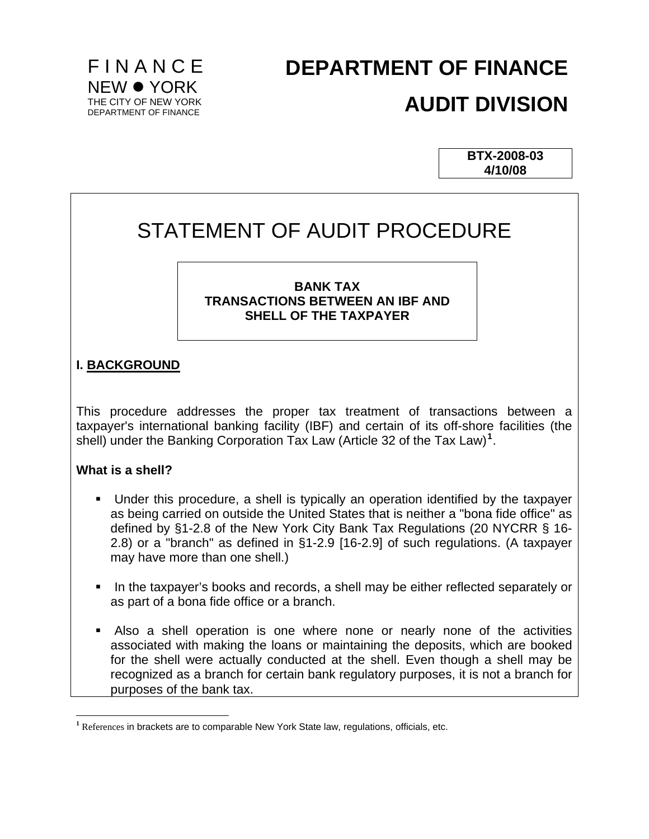

# **DEPARTMENT OF FINANCE AUDIT DIVISION**

**BTX-2008-03 4/10/08**

# STATEMENT OF AUDIT PROCEDURE

### **BANK TAX TRANSACTIONS BETWEEN AN IBF AND SHELL OF THE TAXPAYER**

# **I. BACKGROUND**

This procedure addresses the proper tax treatment of transactions between a taxpayer's international banking facility (IBF) and certain of its off-shore facilities (the shell) under the Banking Corporation Tax Law (Article 32 of the Tax Law)**[1](#page-0-0)** .

### **What is a shell?**

- Under this procedure, a shell is typically an operation identified by the taxpayer as being carried on outside the United States that is neither a "bona fide office" as defined by §1-2.8 of the New York City Bank Tax Regulations (20 NYCRR § 16- 2.8) or a "branch" as defined in §1-2.9 [16-2.9] of such regulations. (A taxpayer may have more than one shell.)
- In the taxpayer's books and records, a shell may be either reflected separately or as part of a bona fide office or a branch.
- Also a shell operation is one where none or nearly none of the activities associated with making the loans or maintaining the deposits, which are booked for the shell were actually conducted at the shell. Even though a shell may be recognized as a branch for certain bank regulatory purposes, it is not a branch for purposes of the bank tax.

<span id="page-0-0"></span> $\overline{a}$ <sup>1</sup> References in brackets are to comparable New York State law, regulations, officials, etc.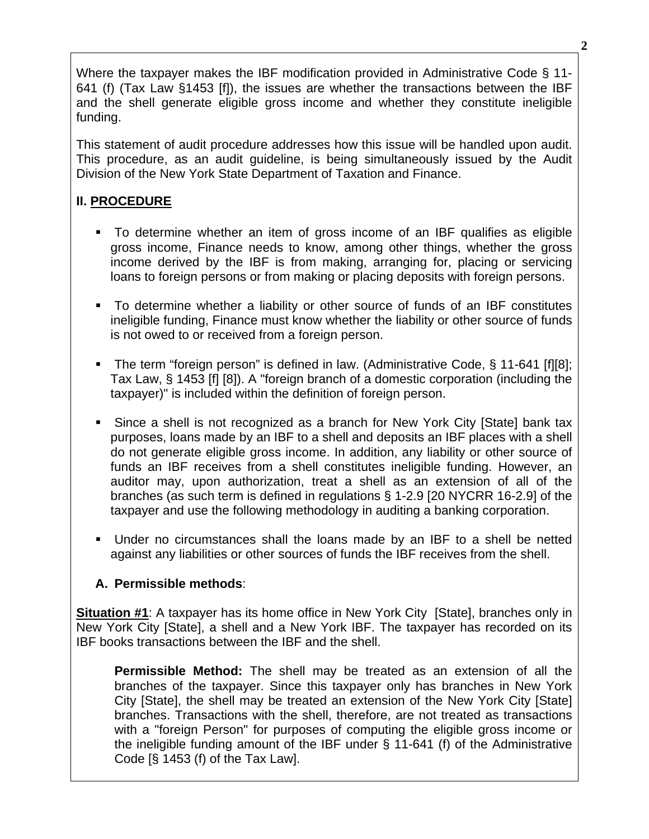Where the taxpayer makes the IBF modification provided in Administrative Code § 11- 641 (f) (Tax Law §1453 [f]), the issues are whether the transactions between the IBF and the shell generate eligible gross income and whether they constitute ineligible funding.

This statement of audit procedure addresses how this issue will be handled upon audit. This procedure, as an audit guideline, is being simultaneously issued by the Audit Division of the New York State Department of Taxation and Finance.

# **II. PROCEDURE**

- To determine whether an item of gross income of an IBF qualifies as eligible gross income, Finance needs to know, among other things, whether the gross income derived by the IBF is from making, arranging for, placing or servicing loans to foreign persons or from making or placing deposits with foreign persons.
- To determine whether a liability or other source of funds of an IBF constitutes ineligible funding, Finance must know whether the liability or other source of funds is not owed to or received from a foreign person.
- The term "foreign person" is defined in law. (Administrative Code, § 11-641 [f][8]; Tax Law, § 1453 [f] [8]). A "foreign branch of a domestic corporation (including the taxpayer)" is included within the definition of foreign person.
- Since a shell is not recognized as a branch for New York City [State] bank tax purposes, loans made by an IBF to a shell and deposits an IBF places with a shell do not generate eligible gross income. In addition, any liability or other source of funds an IBF receives from a shell constitutes ineligible funding. However, an auditor may, upon authorization, treat a shell as an extension of all of the branches (as such term is defined in regulations § 1-2.9 [20 NYCRR 16-2.9] of the taxpayer and use the following methodology in auditing a banking corporation.
- Under no circumstances shall the loans made by an IBF to a shell be netted against any liabilities or other sources of funds the IBF receives from the shell.

# **A. Permissible methods**:

**Situation #1**: A taxpayer has its home office in New York City [State], branches only in New York City [State], a shell and a New York IBF. The taxpayer has recorded on its IBF books transactions between the IBF and the shell.

**Permissible Method:** The shell may be treated as an extension of all the branches of the taxpayer. Since this taxpayer only has branches in New York City [State], the shell may be treated an extension of the New York City [State] branches. Transactions with the shell, therefore, are not treated as transactions with a "foreign Person" for purposes of computing the eligible gross income or the ineligible funding amount of the IBF under § 11-641 (f) of the Administrative Code [§ 1453 (f) of the Tax Law].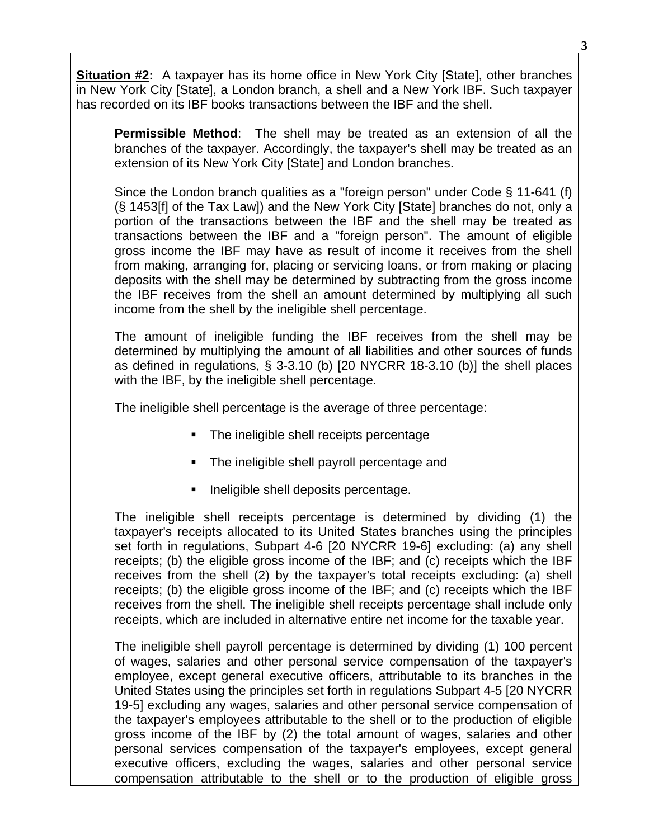**Situation #2:** A taxpayer has its home office in New York City [State], other branches in New York City [State], a London branch, a shell and a New York IBF. Such taxpayer has recorded on its IBF books transactions between the IBF and the shell.

**Permissible Method**: The shell may be treated as an extension of all the branches of the taxpayer. Accordingly, the taxpayer's shell may be treated as an extension of its New York City [State] and London branches.

Since the London branch qualities as a "foreign person" under Code § 11-641 (f) (§ 1453[f] of the Tax Law]) and the New York City [State] branches do not, only a portion of the transactions between the IBF and the shell may be treated as transactions between the IBF and a "foreign person". The amount of eligible gross income the IBF may have as result of income it receives from the shell from making, arranging for, placing or servicing loans, or from making or placing deposits with the shell may be determined by subtracting from the gross income the IBF receives from the shell an amount determined by multiplying all such income from the shell by the ineligible shell percentage.

The amount of ineligible funding the IBF receives from the shell may be determined by multiplying the amount of all liabilities and other sources of funds as defined in regulations, § 3-3.10 (b) [20 NYCRR 18-3.10 (b)] the shell places with the IBF, by the ineligible shell percentage.

The ineligible shell percentage is the average of three percentage:

- The ineligible shell receipts percentage
- The ineligible shell payroll percentage and
- Ineligible shell deposits percentage.

The ineligible shell receipts percentage is determined by dividing (1) the taxpayer's receipts allocated to its United States branches using the principles set forth in regulations, Subpart 4-6 [20 NYCRR 19-6] excluding: (a) any shell receipts; (b) the eligible gross income of the IBF; and (c) receipts which the IBF receives from the shell (2) by the taxpayer's total receipts excluding: (a) shell receipts; (b) the eligible gross income of the IBF; and (c) receipts which the IBF receives from the shell. The ineligible shell receipts percentage shall include only receipts, which are included in alternative entire net income for the taxable year.

The ineligible shell payroll percentage is determined by dividing (1) 100 percent of wages, salaries and other personal service compensation of the taxpayer's employee, except general executive officers, attributable to its branches in the United States using the principles set forth in regulations Subpart 4-5 [20 NYCRR 19-5] excluding any wages, salaries and other personal service compensation of the taxpayer's employees attributable to the shell or to the production of eligible gross income of the IBF by (2) the total amount of wages, salaries and other personal services compensation of the taxpayer's employees, except general executive officers, excluding the wages, salaries and other personal service compensation attributable to the shell or to the production of eligible gross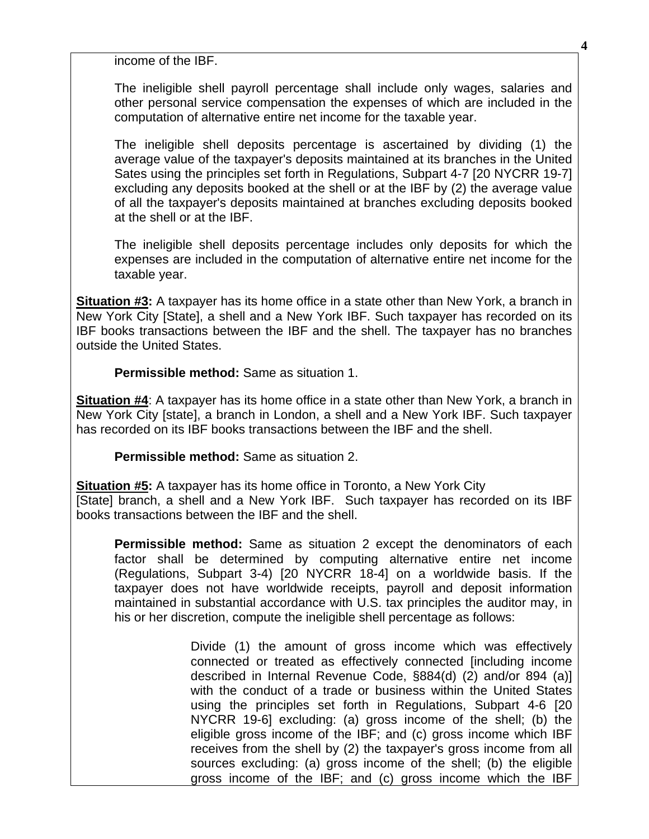income of the IBF.

The ineligible shell payroll percentage shall include only wages, salaries and other personal service compensation the expenses of which are included in the computation of alternative entire net income for the taxable year.

The ineligible shell deposits percentage is ascertained by dividing (1) the average value of the taxpayer's deposits maintained at its branches in the United Sates using the principles set forth in Regulations, Subpart 4-7 [20 NYCRR 19-7] excluding any deposits booked at the shell or at the IBF by (2) the average value of all the taxpayer's deposits maintained at branches excluding deposits booked at the shell or at the IBF.

The ineligible shell deposits percentage includes only deposits for which the expenses are included in the computation of alternative entire net income for the taxable year.

**Situation #3:** A taxpayer has its home office in a state other than New York, a branch in New York City [State], a shell and a New York IBF. Such taxpayer has recorded on its IBF books transactions between the IBF and the shell. The taxpayer has no branches outside the United States.

**Permissible method:** Same as situation 1.

**Situation #4**: A taxpayer has its home office in a state other than New York, a branch in New York City [state], a branch in London, a shell and a New York IBF. Such taxpayer has recorded on its IBF books transactions between the IBF and the shell.

**Permissible method:** Same as situation 2.

**Situation #5:** A taxpayer has its home office in Toronto, a New York City [State] branch, a shell and a New York IBF. Such taxpayer has recorded on its IBF books transactions between the IBF and the shell.

**Permissible method:** Same as situation 2 except the denominators of each factor shall be determined by computing alternative entire net income (Regulations, Subpart 3-4) [20 NYCRR 18-4] on a worldwide basis. If the taxpayer does not have worldwide receipts, payroll and deposit information maintained in substantial accordance with U.S. tax principles the auditor may, in his or her discretion, compute the ineligible shell percentage as follows:

> Divide (1) the amount of gross income which was effectively connected or treated as effectively connected [including income described in Internal Revenue Code, §884(d) (2) and/or 894 (a)] with the conduct of a trade or business within the United States using the principles set forth in Regulations, Subpart 4-6 [20 NYCRR 19-6] excluding: (a) gross income of the shell; (b) the eligible gross income of the IBF; and (c) gross income which IBF receives from the shell by (2) the taxpayer's gross income from all sources excluding: (a) gross income of the shell; (b) the eligible gross income of the IBF; and (c) gross income which the IBF